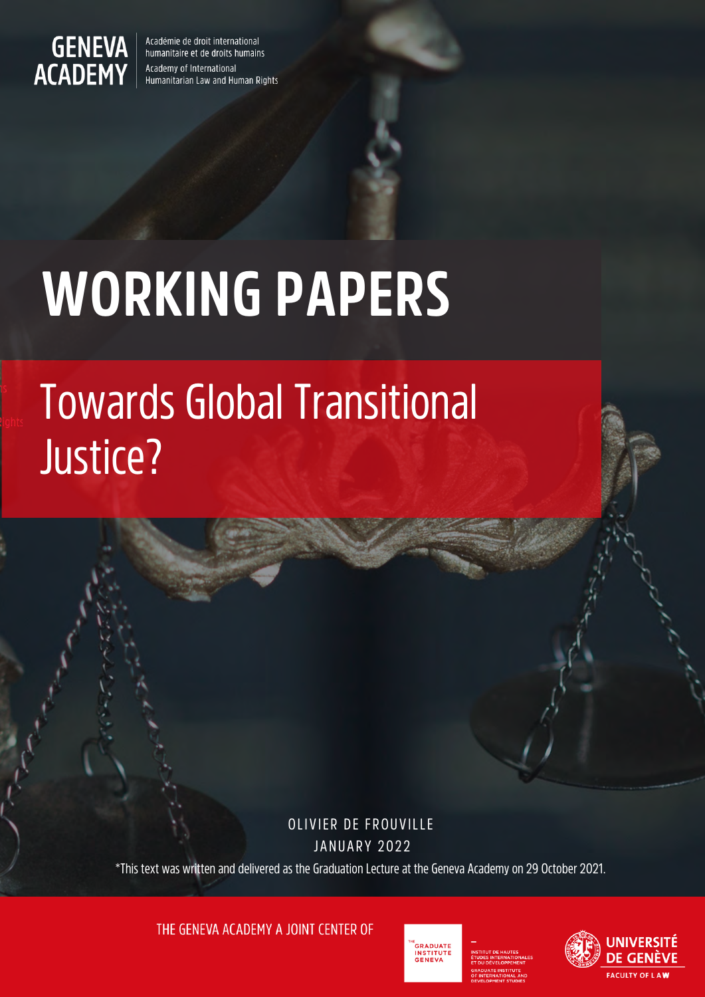

Académie de droit international humanitaire et de droits humains Academy of International Humanitarian Law and Human Rights

# **WORKING PAPERS**

## Towards Global Transitional Justice?

OLIVIER DE FROUVILLE **JANUARY 2022** 

\*This text was written and delivered as the Graduation Lecture at the Geneva Academy on 29 October 2021.

THE GENEVA ACADEMY A JOINT CENTER OF



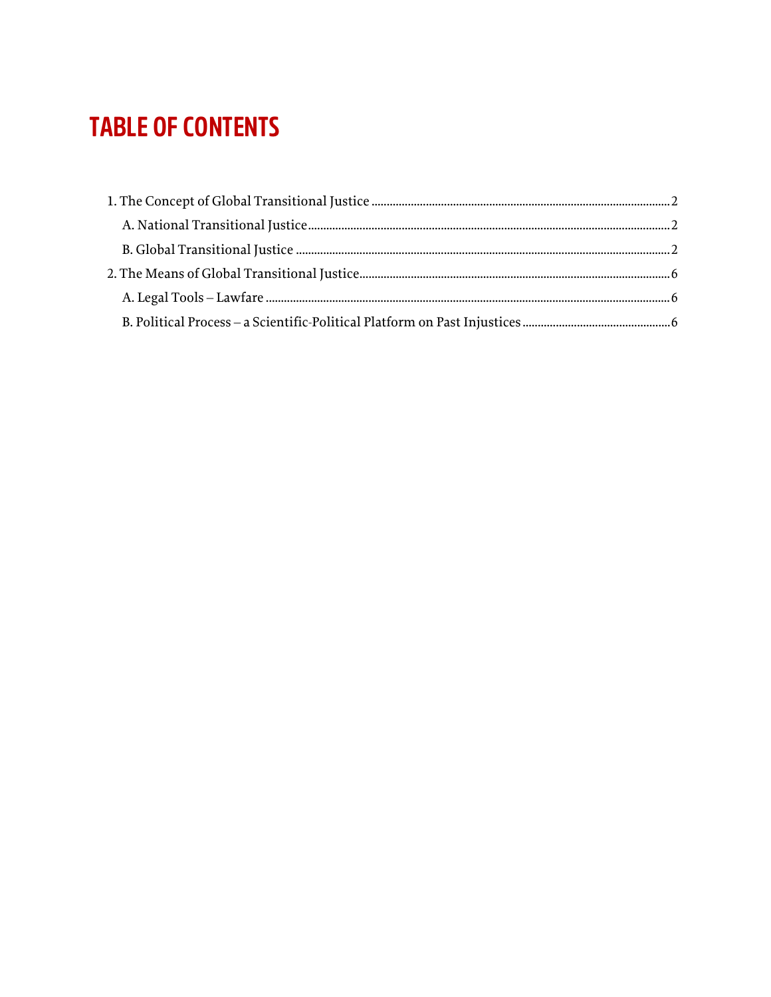## **TABLE OF CONTENTS**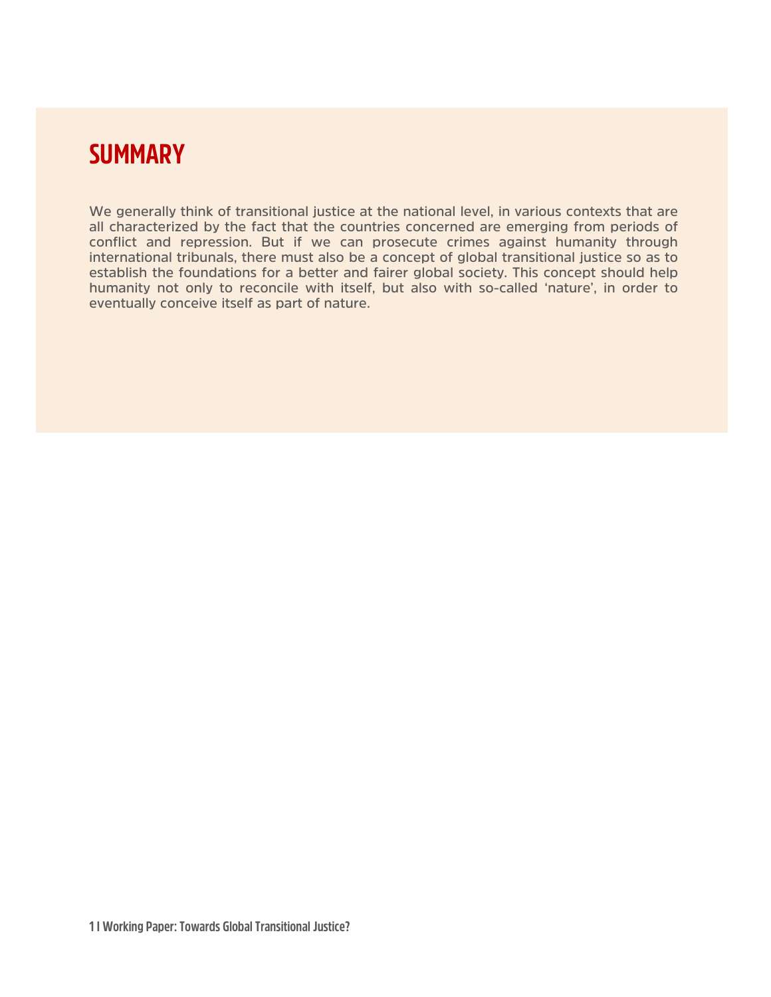## **SUMMARY**

**We generally think of transitional justice at the national level, in various contexts that are all characterized by the fact that the countries concerned are emerging from periods of conflict and repression. But if we can prosecute crimes against humanity through international tribunals, there must also be a concept of global transitional justice so as to establish the foundations for a better and fairer global society. This concept should help humanity not only to reconcile with itself, but also with so-called 'nature', in order to eventually conceive itself as part of nature.**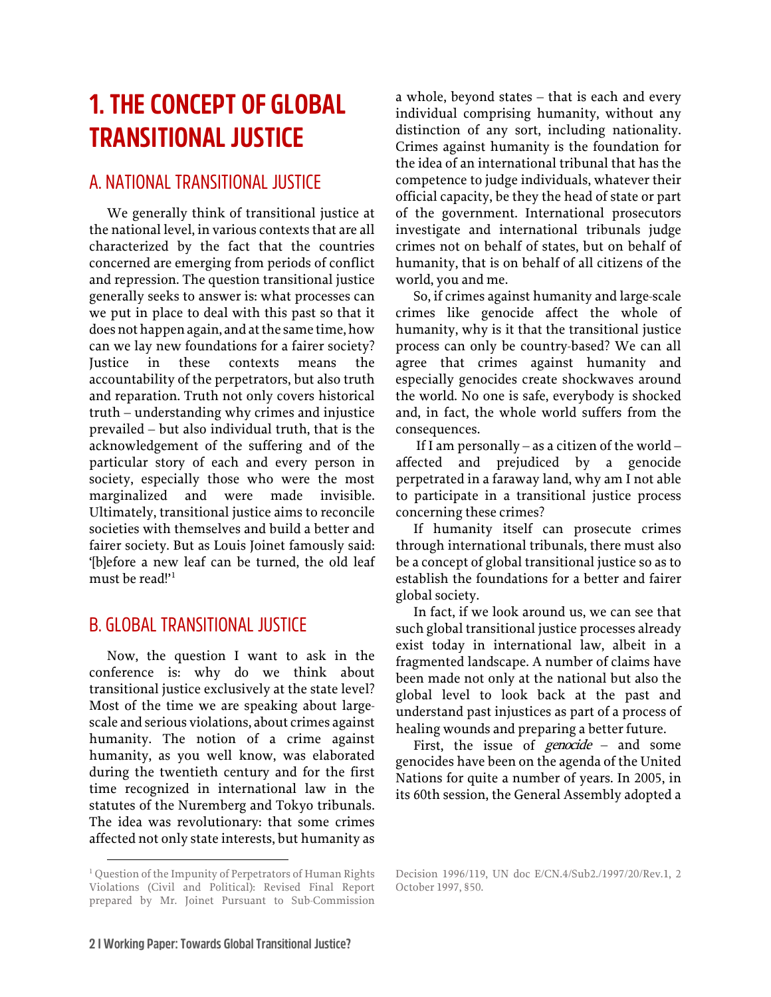## <span id="page-3-0"></span>**1. THE CONCEPT OF GLOBAL TRANSITIONAL JUSTICE**

#### <span id="page-3-1"></span>A. NATIONAL TRANSITIONAL JUSTICE

We generally think of transitional justice at the national level, in various contexts that are all characterized by the fact that the countries concerned are emerging from periods of conflict and repression. The question transitional justice generally seeks to answer is: what processes can we put in place to deal with this past so that it does not happen again, and at the same time, how can we lay new foundations for a fairer society? Justice in these contexts means the accountability of the perpetrators, but also truth and reparation. Truth not only covers historical truth – understanding why crimes and injustice prevailed – but also individual truth, that is the acknowledgement of the suffering and of the particular story of each and every person in society, especially those who were the most marginalized and were made invisible. Ultimately, transitional justice aims to reconcile societies with themselves and build a better and fairer society. But as Louis Joinet famously said: '[b]efore a new leaf can be turned, the old leaf must be read!'[1](#page-3-3)

#### <span id="page-3-2"></span>B. GLOBAL TRANSITIONAL JUSTICE

Now, the question I want to ask in the conference is: why do we think about transitional justice exclusively at the state level? Most of the time we are speaking about largescale and serious violations, about crimes against humanity. The notion of a crime against humanity, as you well know, was elaborated during the twentieth century and for the first time recognized in international law in the statutes of the Nuremberg and Tokyo tribunals. The idea was revolutionary: that some crimes affected not only state interests, but humanity as

a whole, beyond states – that is each and every individual comprising humanity, without any distinction of any sort, including nationality. Crimes against humanity is the foundation for the idea of an international tribunal that has the competence to judge individuals, whatever their official capacity, be they the head of state or part of the government. International prosecutors investigate and international tribunals judge crimes not on behalf of states, but on behalf of humanity, that is on behalf of all citizens of the world, you and me.

So, if crimes against humanity and large-scale crimes like genocide affect the whole of humanity, why is it that the transitional justice process can only be country-based? We can all agree that crimes against humanity and especially genocides create shockwaves around the world. No one is safe, everybody is shocked and, in fact, the whole world suffers from the consequences.

If I am personally – as a citizen of the world – affected and prejudiced by a genocide perpetrated in a faraway land, why am I not able to participate in a transitional justice process concerning these crimes?

If humanity itself can prosecute crimes through international tribunals, there must also be a concept of global transitional justice so as to establish the foundations for a better and fairer global society.

In fact, if we look around us, we can see that such global transitional justice processes already exist today in international law, albeit in a fragmented landscape. A number of claims have been made not only at the national but also the global level to look back at the past and understand past injustices as part of a process of healing wounds and preparing a better future.

First, the issue of *genocide* – and some genocides have been on the agenda of the United Nations for quite a number of years. In 2005, in its 60th session, the General Assembly adopted a

<span id="page-3-3"></span><sup>&</sup>lt;sup>1</sup> Question of the Impunity of Perpetrators of Human Rights Violations (Civil and Political): Revised Final Report prepared by Mr. Joinet Pursuant to Sub-Commission

Decision 1996/119, UN doc E/CN.4/Sub2./1997/20/Rev.1, 2 October 1997, §50.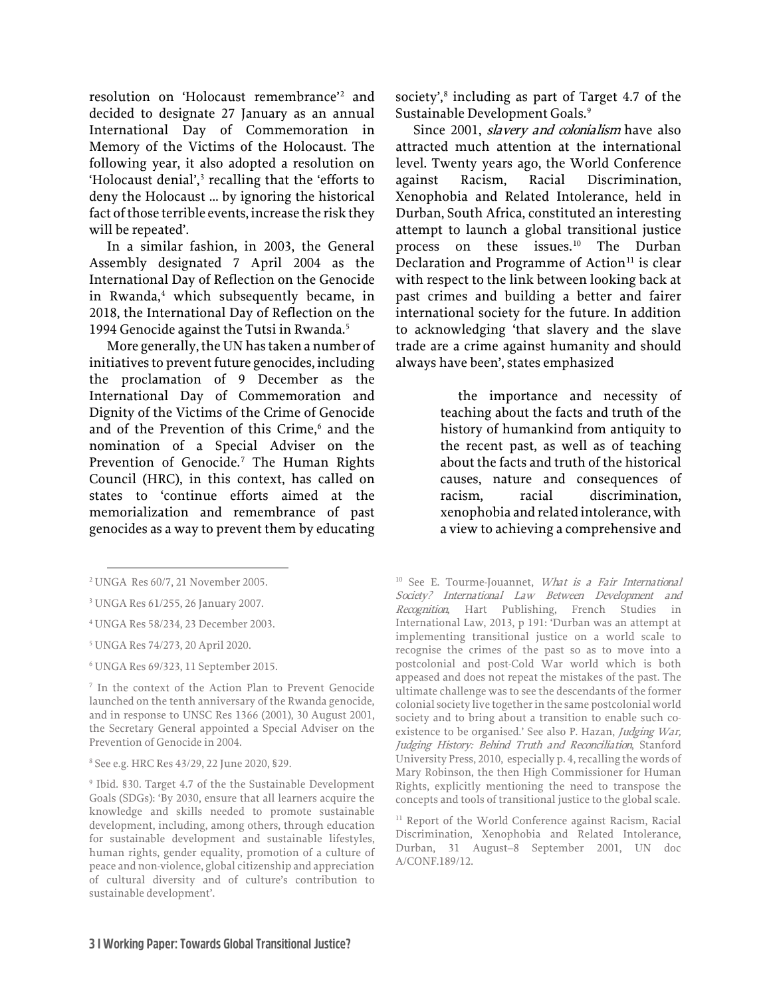resolution on 'Holocaust remembrance'[2](#page-4-0) and decided to designate 27 January as an annual International Day of Commemoration in Memory of the Victims of the Holocaust. The following year, it also adopted a resolution on 'Holocaust denial',<sup>[3](#page-4-1)</sup> recalling that the 'efforts to deny the Holocaust … by ignoring the historical fact of those terrible events, increase the risk they will be repeated'.

In a similar fashion, in 2003, the General Assembly designated 7 April 2004 as the International Day of Reflection on the Genocide in Rwanda, $4$  which subsequently became, in 2018, the International Day of Reflection on the 1994 Genocide against the Tutsi in Rwanda.<sup>[5](#page-4-3)</sup>

More generally, the UN has taken a number of initiatives to prevent future genocides, including the proclamation of 9 December as the International Day of Commemoration and Dignity of the Victims of the Crime of Genocide and of the Prevention of this Crime, [6](#page-4-4) and the nomination of a Special Adviser on the Prevention of Genocide.<sup>[7](#page-4-5)</sup> The Human Rights Council (HRC), in this context, has called on states to 'continue efforts aimed at the memorialization and remembrance of past genocides as a way to prevent them by educating society', [8](#page-4-6) including as part of Target 4.7 of the Sustainable Development Goals. [9](#page-4-7)

Since 2001, slavery and colonialism have also attracted much attention at the international level. Twenty years ago, the World Conference against Racism, Racial Discrimination, Xenophobia and Related Intolerance, held in Durban, South Africa, constituted an interesting attempt to launch a global transitional justice process on these issues.[10](#page-4-0) The Durban Declaration and Programme of Action $11$  is clear with respect to the link between looking back at past crimes and building a better and fairer international society for the future. In addition to acknowledging 'that slavery and the slave trade are a crime against humanity and should always have been', states emphasized

> the importance and necessity of teaching about the facts and truth of the history of humankind from antiquity to the recent past, as well as of teaching about the facts and truth of the historical causes, nature and consequences of racism, racial discrimination, xenophobia and related intolerance, with a view to achieving a comprehensive and

<sup>10</sup> See E. Tourme-Jouannet, *What is a Fair International* Society? International Law Between Development and Recognition, Hart Publishing, French Studies in International Law, 2013, p 191: 'Durban was an attempt at implementing transitional justice on a world scale to recognise the crimes of the past so as to move into a postcolonial and post-Cold War world which is both appeased and does not repeat the mistakes of the past. The ultimate challenge was to see the descendants of the former colonial society live together in the same postcolonial world society and to bring about a transition to enable such coexistence to be organised.' See also P. Hazan, Judging War, Judging History: Behind Truth and Reconciliation, Stanford University Press, 2010, especially p. 4, recalling the words of Mary Robinson, the then High Commissioner for Human Rights, explicitly mentioning the need to transpose the concepts and tools of transitional justice to the global scale.

<span id="page-4-0"></span><sup>2</sup> UNGA Res 60/7, 21 November 2005.

<span id="page-4-1"></span><sup>3</sup> UNGA Res 61/255, 26 January 2007.

<span id="page-4-2"></span><sup>4</sup> UNGA Res 58/234, 23 December 2003.

<span id="page-4-3"></span><sup>5</sup> UNGA Res 74/273, 20 April 2020.

<span id="page-4-4"></span><sup>6</sup> UNGA Res 69/323, 11 September 2015.

<span id="page-4-5"></span><sup>7</sup> In the context of the Action Plan to Prevent Genocide launched on the tenth anniversary of the Rwanda genocide, and in response to UNSC Res 1366 (2001), 30 August 2001, the Secretary General appointed a Special Adviser on the Prevention of Genocide in 2004.

<span id="page-4-6"></span><sup>8</sup> See e.g. HRC Res 43/29, 22 June 2020, §29.

<span id="page-4-8"></span><span id="page-4-7"></span><sup>9</sup> Ibid. §30. Target 4.7 of the the Sustainable Development Goals (SDGs): 'By 2030, ensure that all learners acquire the knowledge and skills needed to promote sustainable development, including, among others, through education for sustainable development and sustainable lifestyles, human rights, gender equality, promotion of a culture of peace and non-violence, global citizenship and appreciation of cultural diversity and of culture's contribution to sustainable development'.

<sup>&</sup>lt;sup>11</sup> Report of the World Conference against Racism, Racial Discrimination, Xenophobia and Related Intolerance, Durban, 31 August–8 September 2001, UN doc A/CONF.189/12.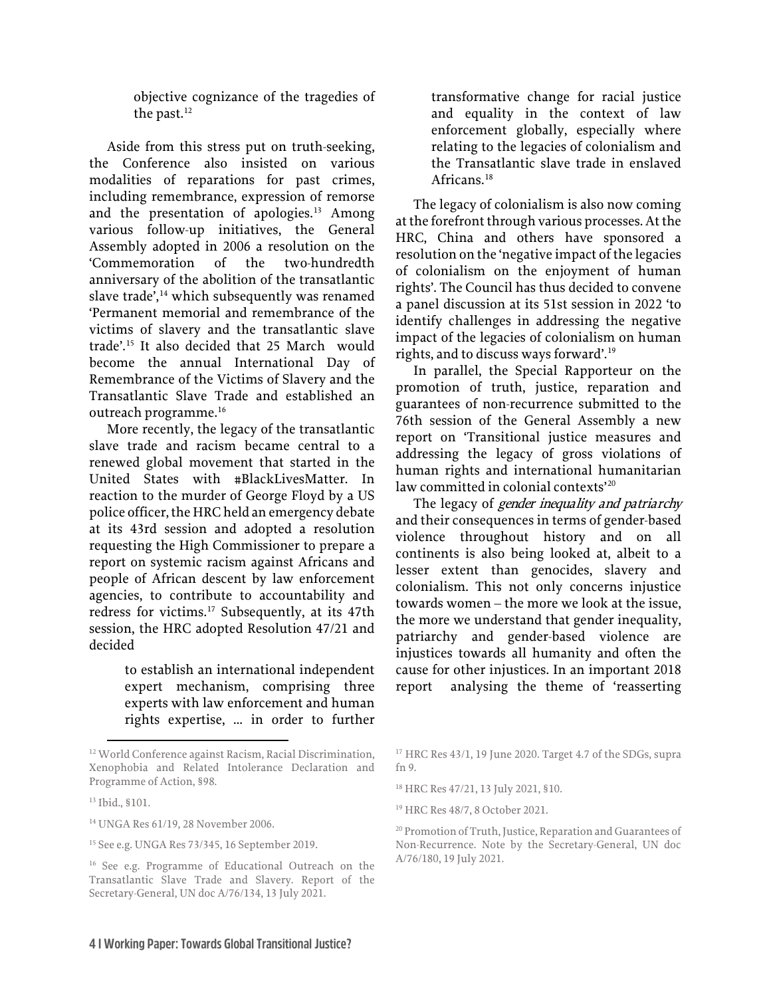objective cognizance of the tragedies of the past.<sup>12</sup>

Aside from this stress put on truth-seeking, the Conference also insisted on various modalities of reparations for past crimes, including remembrance, expression of remorse and the presentation of apologies.<sup>[13](#page-5-1)</sup> Among various follow-up initiatives, the General Assembly adopted in 2006 a resolution on the 'Commemoration of the two-hundredth anniversary of the abolition of the transatlantic slave trade', [14](#page-5-2) which subsequently was renamed 'Permanent memorial and remembrance of the victims of slavery and the transatlantic slave trade'.[15](#page-5-3) It also decided that 25 March would become the annual International Day of Remembrance of the Victims of Slavery and the Transatlantic Slave Trade and established an outreach programme. [16](#page-5-4)

More recently, the legacy of the transatlantic slave trade and racism became central to a renewed global movement that started in the United States with #BlackLivesMatter. In reaction to the murder of George Floyd by a US police officer, the HRC held an emergency debate at its 43rd session and adopted a resolution requesting the High Commissioner to prepare a report on systemic racism against Africans and people of African descent by law enforcement agencies, to contribute to accountability and redress for victims.[17](#page-5-0) Subsequently, at its 47th session, the HRC adopted Resolution 47/21 and decided

> to establish an international independent expert mechanism, comprising three experts with law enforcement and human rights expertise, … in order to further

transformative change for racial justice and equality in the context of law enforcement globally, especially where relating to the legacies of colonialism and the Transatlantic slave trade in enslaved Africans.<sup>[18](#page-5-5)</sup>

The legacy of colonialism is also now coming at the forefront through various processes. At the HRC, China and others have sponsored a resolution on the 'negative impact of the legacies of colonialism on the enjoyment of human rights'. The Council has thus decided to convene a panel discussion at its 51st session in 2022 'to identify challenges in addressing the negative impact of the legacies of colonialism on human rights, and to discuss ways forward'. [19](#page-5-6)

In parallel, the Special Rapporteur on the promotion of truth, justice, reparation and guarantees of non-recurrence submitted to the 76th session of the General Assembly a new report on 'Transitional justice measures and addressing the legacy of gross violations of human rights and international humanitarian law committed in colonial contexts'<sup>[20](#page-5-7)</sup>

The legacy of *gender inequality and patriarchy* and their consequences in terms of gender-based violence throughout history and on all continents is also being looked at, albeit to a lesser extent than genocides, slavery and colonialism. This not only concerns injustice towards women – the more we look at the issue, the more we understand that gender inequality, patriarchy and gender-based violence are injustices towards all humanity and often the cause for other injustices. In an important 2018 report analysing the theme of 'reasserting

<span id="page-5-0"></span><sup>12</sup> World Conference against Racism, Racial Discrimination, Xenophobia and Related Intolerance Declaration and Programme of Action, §98.

<span id="page-5-6"></span><span id="page-5-5"></span><span id="page-5-1"></span><sup>13</sup> Ibid., §101.

<span id="page-5-7"></span><span id="page-5-2"></span><sup>14</sup> UNGA Res 61/19, 28 November 2006.

<span id="page-5-3"></span><sup>15</sup> See e.g. UNGA Res 73/345, 16 September 2019.

<span id="page-5-4"></span><sup>16</sup> See e.g. Programme of Educational Outreach on the Transatlantic Slave Trade and Slavery. Report of the Secretary-General, UN doc A/76/134, 13 July 2021.

<sup>17</sup> HRC Res 43/1, 19 June 2020. Target 4.7 of the SDGs, supra fn 9.

<sup>18</sup> HRC Res 47/21, 13 July 2021, §10.

<sup>19</sup> HRC Res 48/7, 8 October 2021.

<sup>20</sup> Promotion of Truth, Justice, Reparation and Guarantees of Non-Recurrence. Note by the Secretary-General, UN doc A/76/180, 19 July 2021.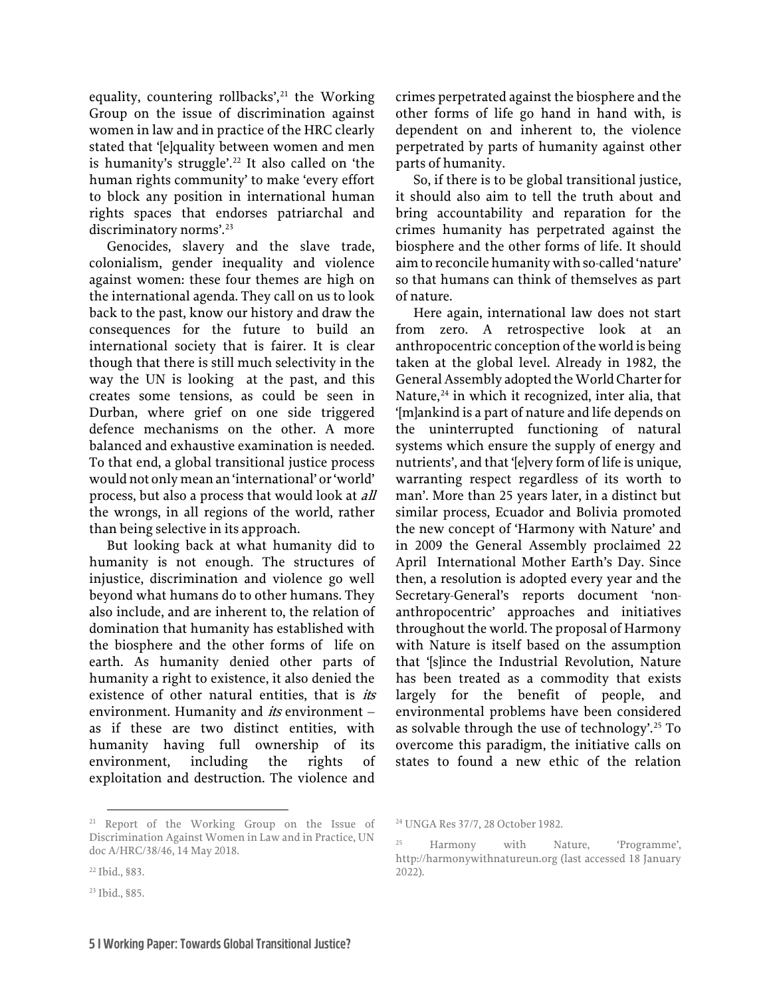equality, countering rollbacks',<sup>21</sup> the Working Group on the issue of discrimination against women in law and in practice of the HRC clearly stated that '[e]quality between women and men is humanity's struggle'.<sup>[22](#page-6-1)</sup> It also called on 'the human rights community' to make 'every effort to block any position in international human rights spaces that endorses patriarchal and discriminatory norms'.<sup>[23](#page-6-2)</sup>

Genocides, slavery and the slave trade, colonialism, gender inequality and violence against women: these four themes are high on the international agenda. They call on us to look back to the past, know our history and draw the consequences for the future to build an international society that is fairer. It is clear though that there is still much selectivity in the way the UN is looking at the past, and this creates some tensions, as could be seen in Durban, where grief on one side triggered defence mechanisms on the other. A more balanced and exhaustive examination is needed. To that end, a global transitional justice process would not only mean an 'international' or 'world' process, but also a process that would look at *all* the wrongs, in all regions of the world, rather than being selective in its approach.

But looking back at what humanity did to humanity is not enough. The structures of injustice, discrimination and violence go well beyond what humans do to other humans. They also include, and are inherent to, the relation of domination that humanity has established with the biosphere and the other forms of life on earth. As humanity denied other parts of humanity a right to existence, it also denied the existence of other natural entities, that is *its* environment. Humanity and *its* environment as if these are two distinct entities, with humanity having full ownership of its environment, including the rights of exploitation and destruction. The violence and

<span id="page-6-3"></span><span id="page-6-0"></span><sup>21</sup> Report of the Working Group on the Issue of Discrimination Against Women in Law and in Practice, UN doc A/HRC/38/46, 14 May 2018.

crimes perpetrated against the biosphere and the other forms of life go hand in hand with, is dependent on and inherent to, the violence perpetrated by parts of humanity against other parts of humanity.

So, if there is to be global transitional justice, it should also aim to tell the truth about and bring accountability and reparation for the crimes humanity has perpetrated against the biosphere and the other forms of life. It should aim to reconcile humanity with so-called 'nature' so that humans can think of themselves as part of nature.

Here again, international law does not start from zero. A retrospective look at an anthropocentric conception of the world is being taken at the global level. Already in 1982, the General Assembly adopted the World Charter for Nature, $^{24}$  $^{24}$  $^{24}$  in which it recognized, inter alia, that '[m]ankind is a part of nature and life depends on the uninterrupted functioning of natural systems which ensure the supply of energy and nutrients', and that '[e]very form of life is unique, warranting respect regardless of its worth to man'. More than 25 years later, in a distinct but similar process, Ecuador and Bolivia promoted the new concept of 'Harmony with Nature' and in 2009 the General Assembly proclaimed 22 April International Mother Earth's Day. Since then, a resolution is adopted every year and the Secretary-General's reports document 'nonanthropocentric' approaches and initiatives throughout the world. The proposal of Harmony with Nature is itself based on the assumption that '[s]ince the Industrial Revolution, Nature has been treated as a commodity that exists largely for the benefit of people, and environmental problems have been considered as solvable through the use of technology'. [25](#page-6-3) To overcome this paradigm, the initiative calls on states to found a new ethic of the relation

<span id="page-6-1"></span><sup>22</sup> Ibid., §83.

<span id="page-6-2"></span><sup>23</sup> Ibid., §85.

<sup>24</sup> UNGA Res 37/7, 28 October 1982.

<sup>25</sup> Harmony with Nature, 'Programme', [http://harmonywithnatureun.org](http://harmonywithnatureun.org/) (last accessed 18 January 2022).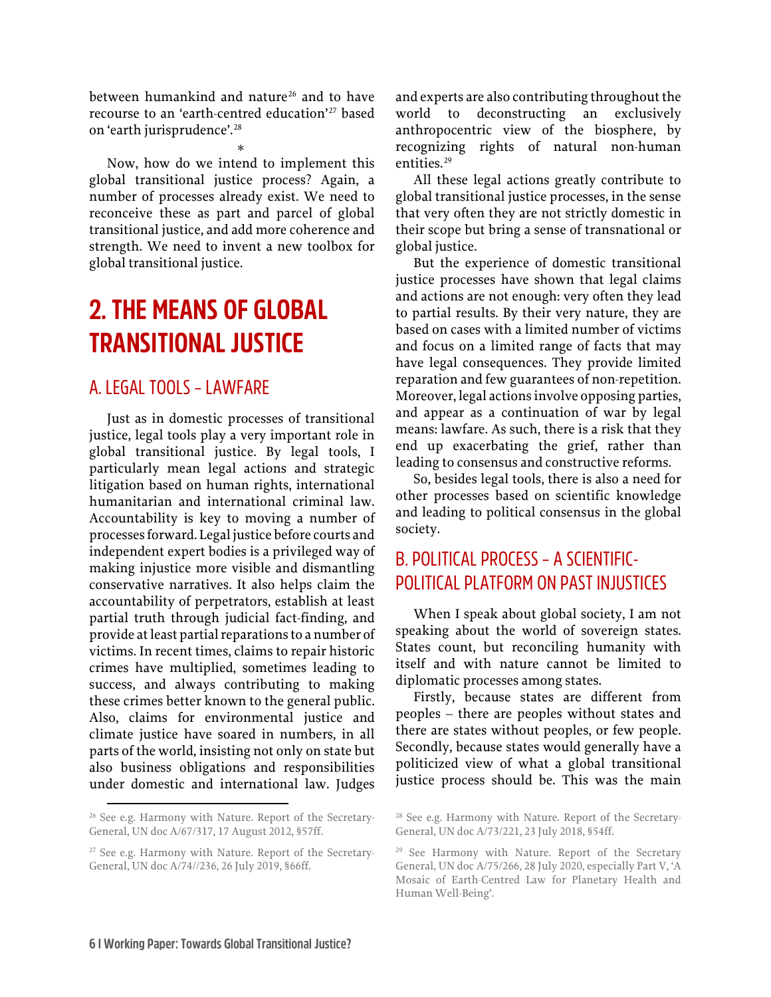between humankind and nature<sup>[26](#page-7-3)</sup> and to have recourse to an 'earth-centred education'[27](#page-7-4) based on 'earth jurisprudence'. [28](#page-7-3)

\*

Now, how do we intend to implement this global transitional justice process? Again, a number of processes already exist. We need to reconceive these as part and parcel of global transitional justice, and add more coherence and strength. We need to invent a new toolbox for global transitional justice.

## <span id="page-7-0"></span>**2. THE MEANS OF GLOBAL TRANSITIONAL JUSTICE**

#### <span id="page-7-1"></span>A. LEGAL TOOLS – LAWFARE

Just as in domestic processes of transitional justice, legal tools play a very important role in global transitional justice. By legal tools, I particularly mean legal actions and strategic litigation based on human rights, international humanitarian and international criminal law. Accountability is key to moving a number of processes forward. Legal justice before courts and independent expert bodies is a privileged way of making injustice more visible and dismantling conservative narratives. It also helps claim the accountability of perpetrators, establish at least partial truth through judicial fact-finding, and provide at least partial reparations to a number of victims. In recent times, claims to repair historic crimes have multiplied, sometimes leading to success, and always contributing to making these crimes better known to the general public. Also, claims for environmental justice and climate justice have soared in numbers, in all parts of the world, insisting not only on state but also business obligations and responsibilities under domestic and international law. Judges

and experts are also contributing throughout the world to deconstructing an exclusively anthropocentric view of the biosphere, by recognizing rights of natural non-human entities.<sup>[29](#page-7-4)</sup>

All these legal actions greatly contribute to global transitional justice processes, in the sense that very often they are not strictly domestic in their scope but bring a sense of transnational or global justice.

But the experience of domestic transitional justice processes have shown that legal claims and actions are not enough: very often they lead to partial results. By their very nature, they are based on cases with a limited number of victims and focus on a limited range of facts that may have legal consequences. They provide limited reparation and few guarantees of non-repetition. Moreover, legal actions involve opposing parties, and appear as a continuation of war by legal means: lawfare. As such, there is a risk that they end up exacerbating the grief, rather than leading to consensus and constructive reforms.

So, besides legal tools, there is also a need for other processes based on scientific knowledge and leading to political consensus in the global society.

#### <span id="page-7-2"></span>B. POLITICAL PROCESS – A SCIENTIFIC-POLITICAL PLATFORM ON PAST INJUSTICES

When I speak about global society, I am not speaking about the world of sovereign states. States count, but reconciling humanity with itself and with nature cannot be limited to diplomatic processes among states.

Firstly, because states are different from peoples – there are peoples without states and there are states without peoples, or few people. Secondly, because states would generally have a politicized view of what a global transitional justice process should be. This was the main

<span id="page-7-3"></span><sup>&</sup>lt;sup>26</sup> See e.g. Harmony with Nature. Report of the Secretary-General, UN doc A/67/317, 17 August 2012, §57ff.

<span id="page-7-4"></span><sup>&</sup>lt;sup>27</sup> See e.g. Harmony with Nature. Report of the Secretary-General, UN doc A/74//236, 26 July 2019, §66ff.

<sup>&</sup>lt;sup>28</sup> See e.g. Harmony with Nature. Report of the Secretary-General, UN doc A/73/221, 23 July 2018, §54ff.

<sup>&</sup>lt;sup>29</sup> See Harmony with Nature. Report of the Secretary General, UN doc A/75/266, 28 July 2020, especially Part V, 'A Mosaic of Earth-Centred Law for Planetary Health and Human Well-Being'.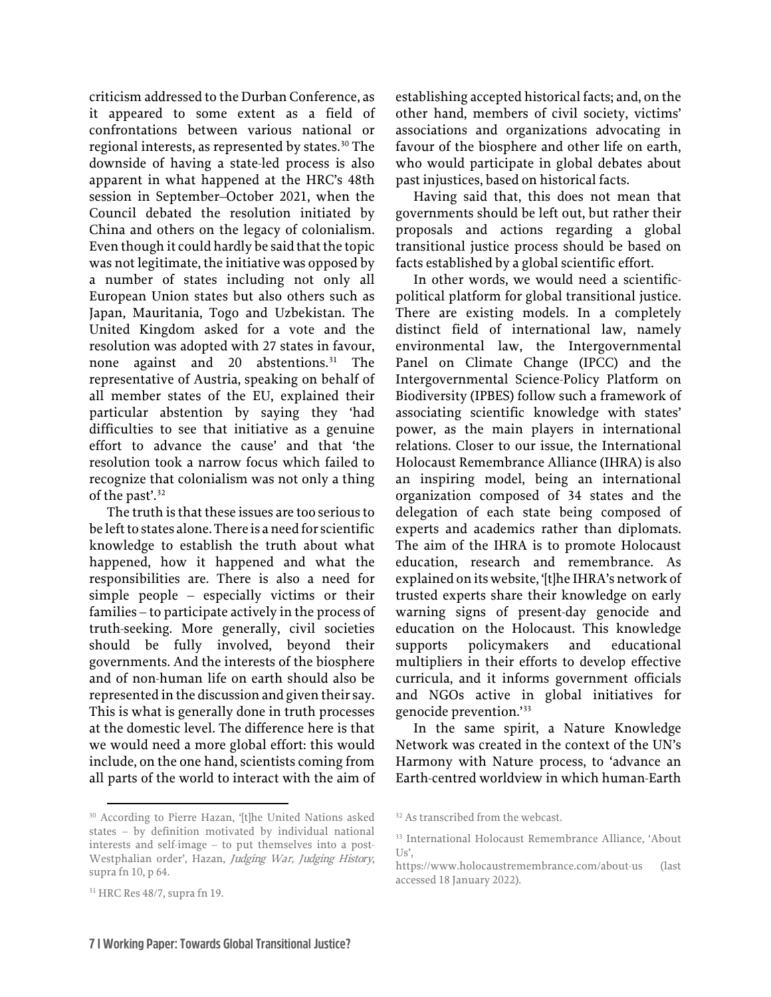criticism addressed to the Durban Conference, as it appeared to some extent as a field of confrontations between various national or regional interests, as represented by states. [30](#page-8-0) The downside of having a state-led process is also apparent in what happened at the HRC's 48th session in September–October 2021, when the Council debated the resolution initiated by China and others on the legacy of colonialism. Even though it could hardly be said that the topic was not legitimate, the initiative was opposed by a number of states including not only all European Union states but also others such as Japan, Mauritania, Togo and Uzbekistan. The United Kingdom asked for a vote and the resolution was adopted with 27 states in favour, none against and 20 abstentions. [31](#page-8-1) The representative of Austria, speaking on behalf of all member states of the EU, explained their particular abstention by saying they 'had difficulties to see that initiative as a genuine effort to advance the cause' and that 'the resolution took a narrow focus which failed to recognize that colonialism was not only a thing of the past'. [32](#page-8-0)

The truth is that these issues are too serious to be left to states alone. There is a need for scientific knowledge to establish the truth about what happened, how it happened and what the responsibilities are. There is also a need for simple people – especially victims or their families – to participate actively in the process of truth-seeking. More generally, civil societies should be fully involved, beyond their governments. And the interests of the biosphere and of non-human life on earth should also be represented in the discussion and given their say. This is what is generally done in truth processes at the domestic level. The difference here is that we would need a more global effort: this would include, on the one hand, scientists coming from all parts of the world to interact with the aim of

<span id="page-8-2"></span><span id="page-8-0"></span><sup>30</sup> According to Pierre Hazan, '[t]he United Nations asked states – by definition motivated by individual national interests and self-image – to put themselves into a post-Westphalian order', Hazan, Judging War, Judging History, supra fn 10, p 64.

establishing accepted historical facts; and, on the other hand, members of civil society, victims' associations and organizations advocating in favour of the biosphere and other life on earth, who would participate in global debates about past injustices, based on historical facts.

Having said that, this does not mean that governments should be left out, but rather their proposals and actions regarding a global transitional justice process should be based on facts established by a global scientific effort.

In other words, we would need a scientificpolitical platform for global transitional justice. There are existing models. In a completely distinct field of international law, namely environmental law, the Intergovernmental Panel on Climate Change (IPCC) and the Intergovernmental Science-Policy Platform on Biodiversity (IPBES) follow such a framework of associating scientific knowledge with states' power, as the main players in international relations. Closer to our issue, the International Holocaust Remembrance Alliance (IHRA) is also an inspiring model, being an international organization composed of 34 states and the delegation of each state being composed of experts and academics rather than diplomats. The aim of the IHRA is to promote Holocaust education, research and remembrance. As explained on its website, '[t]he IHRA's network of trusted experts share their knowledge on early warning signs of present-day genocide and education on the Holocaust. This knowledge supports policymakers and educational multipliers in their efforts to develop effective curricula, and it informs government officials and NGOs active in global initiatives for genocide prevention.'[33](#page-8-2)

In the same spirit, a Nature Knowledge Network was created in the context of the UN's Harmony with Nature process, to 'advance an Earth-centred worldview in which human-Earth

<span id="page-8-1"></span><sup>31</sup> HRC Res 48/7, supra fn 19.

<sup>&</sup>lt;sup>32</sup> As transcribed from the webcast.

<sup>33</sup> International Holocaust Remembrance Alliance, 'About Us',

<https://www.holocaustremembrance.com/about-us> (last accessed 18 January 2022).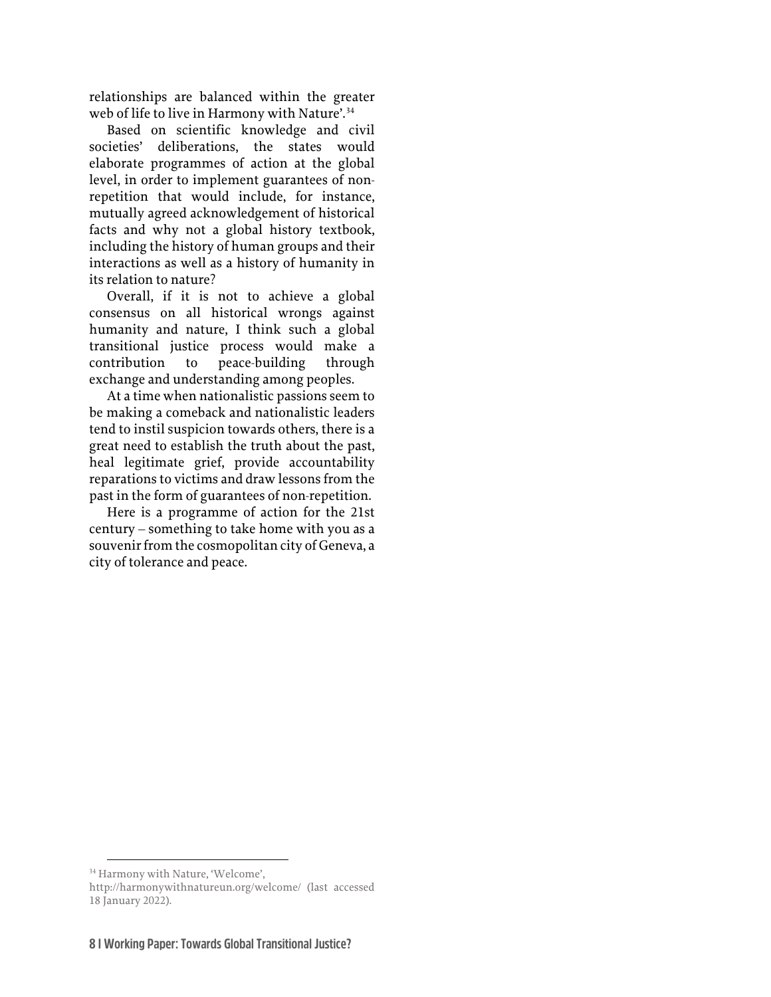relationships are balanced within the greater web of life to live in Harmony with Nature'.<sup>[34](#page-9-0)</sup>

Based on scientific knowledge and civil societies' deliberations, the states would elaborate programmes of action at the global level, in order to implement guarantees of nonrepetition that would include, for instance, mutually agreed acknowledgement of historical facts and why not a global history textbook, including the history of human groups and their interactions as well as a history of humanity in its relation to nature?

Overall, if it is not to achieve a global consensus on all historical wrongs against humanity and nature, I think such a global transitional justice process would make a contribution to peace-building through exchange and understanding among peoples.

At a time when nationalistic passions seem to be making a comeback and nationalistic leaders tend to instil suspicion towards others, there is a great need to establish the truth about the past, heal legitimate grief, provide accountability reparations to victims and draw lessons from the past in the form of guarantees of non-repetition.

Here is a programme of action for the 21st century – something to take home with you as a souvenir from the cosmopolitan city of Geneva, a city of tolerance and peace.

<span id="page-9-0"></span><sup>34</sup> Harmony with Nature, 'Welcome',

<http://harmonywithnatureun.org/welcome/> (last accessed 18 January 2022).